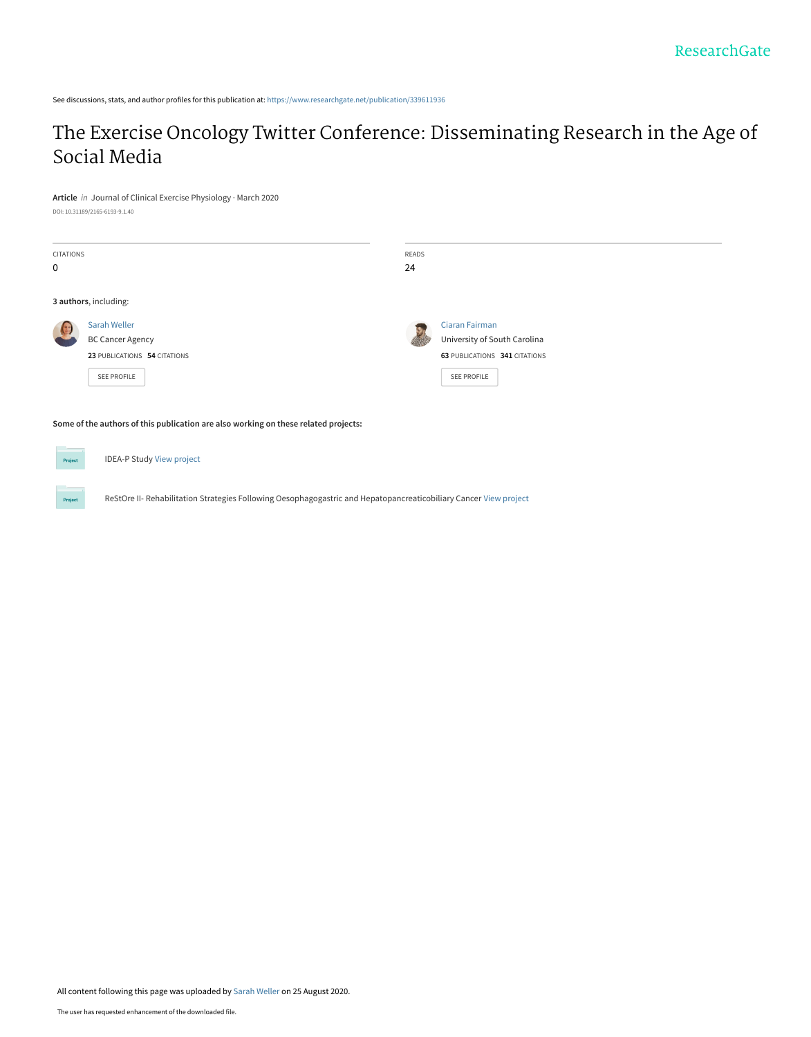See discussions, stats, and author profiles for this publication at: [https://www.researchgate.net/publication/339611936](https://www.researchgate.net/publication/339611936_The_Exercise_Oncology_Twitter_Conference_Disseminating_Research_in_the_Age_of_Social_Media?enrichId=rgreq-25294c7c3bb7b4c6b378488e438e9129-XXX&enrichSource=Y292ZXJQYWdlOzMzOTYxMTkzNjtBUzo5Mjg1MzQyMjI2MTg2MjRAMTU5ODM5MTIxODA4MQ%3D%3D&el=1_x_2&_esc=publicationCoverPdf)

# [The Exercise Oncology Twitter Conference: Disseminating Research in the Age of](https://www.researchgate.net/publication/339611936_The_Exercise_Oncology_Twitter_Conference_Disseminating_Research_in_the_Age_of_Social_Media?enrichId=rgreq-25294c7c3bb7b4c6b378488e438e9129-XXX&enrichSource=Y292ZXJQYWdlOzMzOTYxMTkzNjtBUzo5Mjg1MzQyMjI2MTg2MjRAMTU5ODM5MTIxODA4MQ%3D%3D&el=1_x_3&_esc=publicationCoverPdf) Social Media

**Article** in Journal of Clinical Exercise Physiology · March 2020 DOI: 10.31189/2165-6193-9.1.40

| DOI: T0'9TT0A\\T00-0TA9-A'T'dO |  |  |
|--------------------------------|--|--|
|                                |  |  |
|                                |  |  |

| <b>CITATIONS</b><br>0                                                               |                                                                                                                   | <b>READS</b><br>24 |                                                                                                       |  |  |
|-------------------------------------------------------------------------------------|-------------------------------------------------------------------------------------------------------------------|--------------------|-------------------------------------------------------------------------------------------------------|--|--|
|                                                                                     | 3 authors, including:                                                                                             |                    |                                                                                                       |  |  |
|                                                                                     | Sarah Weller<br><b>BC Cancer Agency</b><br>23 PUBLICATIONS 54 CITATIONS<br>SEE PROFILE                            |                    | <b>Ciaran Fairman</b><br>University of South Carolina<br>63 PUBLICATIONS 341 CITATIONS<br>SEE PROFILE |  |  |
| Some of the authors of this publication are also working on these related projects: |                                                                                                                   |                    |                                                                                                       |  |  |
| Project                                                                             | <b>IDEA-P Study View project</b>                                                                                  |                    |                                                                                                       |  |  |
| Project                                                                             | ReStOre II- Rehabilitation Strategies Following Oesophagogastric and Hepatopancreaticobiliary Cancer View project |                    |                                                                                                       |  |  |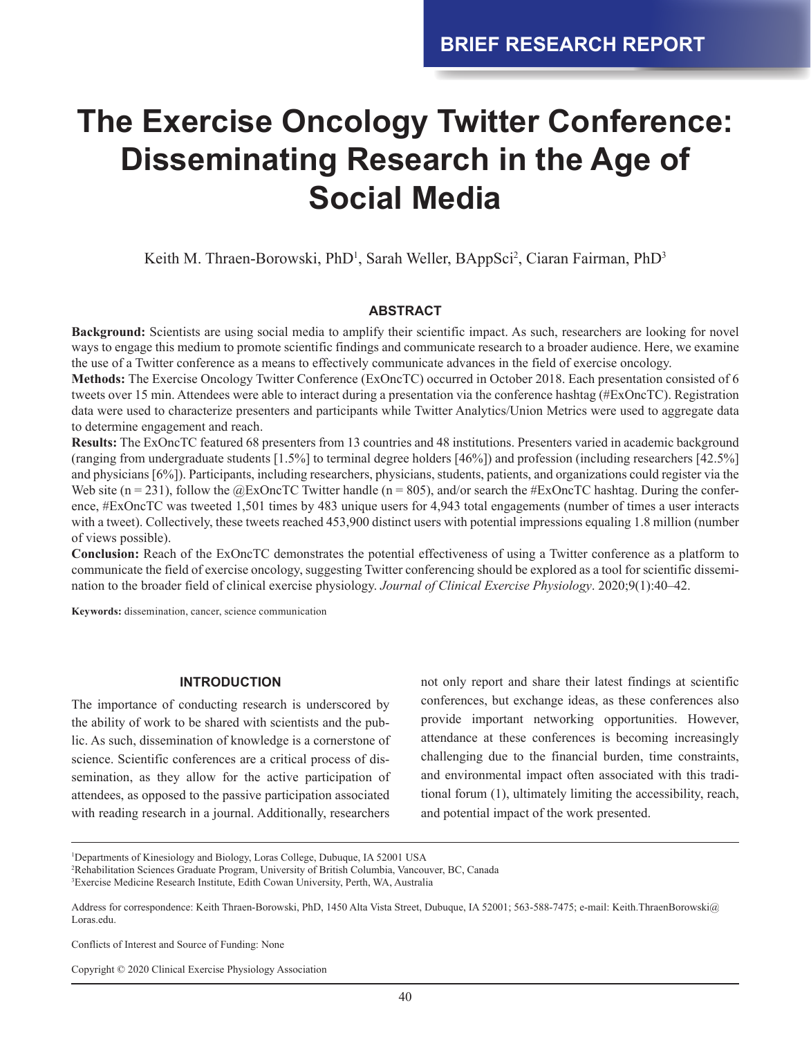# **The Exercise Oncology Twitter Conference: Disseminating Research in the Age of Social Media**

Keith M. Thraen-Borowski, PhD<sup>1</sup>, Sarah Weller, BAppSci<sup>2</sup>, Ciaran Fairman, PhD<sup>3</sup>

### **ABSTRACT**

**Background:** Scientists are using social media to amplify their scientific impact. As such, researchers are looking for novel ways to engage this medium to promote scientific findings and communicate research to a broader audience. Here, we examine the use of a Twitter conference as a means to effectively communicate advances in the field of exercise oncology.

**Methods:** The Exercise Oncology Twitter Conference (ExOncTC) occurred in October 2018. Each presentation consisted of 6 tweets over 15 min. Attendees were able to interact during a presentation via the conference hashtag (#ExOncTC). Registration data were used to characterize presenters and participants while Twitter Analytics/Union Metrics were used to aggregate data to determine engagement and reach.

**Results:** The ExOncTC featured 68 presenters from 13 countries and 48 institutions. Presenters varied in academic background (ranging from undergraduate students [1.5%] to terminal degree holders [46%]) and profession (including researchers [42.5%] and physicians [6%]). Participants, including researchers, physicians, students, patients, and organizations could register via the Web site (n = 231), follow the  $@$ ExOncTC Twitter handle (n = 805), and/or search the #ExOncTC hashtag. During the conference, #ExOncTC was tweeted 1,501 times by 483 unique users for 4,943 total engagements (number of times a user interacts with a tweet). Collectively, these tweets reached 453,900 distinct users with potential impressions equaling 1.8 million (number of views possible).

**Conclusion:** Reach of the ExOncTC demonstrates the potential effectiveness of using a Twitter conference as a platform to communicate the field of exercise oncology, suggesting Twitter conferencing should be explored as a tool for scientific dissemination to the broader field of clinical exercise physiology. *Journal of Clinical Exercise Physiology*. 2020;9(1):40–42.

**Keywords:** dissemination, cancer, science communication

# **INTRODUCTION**

The importance of conducting research is underscored by the ability of work to be shared with scientists and the public. As such, dissemination of knowledge is a cornerstone of science. Scientific conferences are a critical process of dissemination, as they allow for the active participation of attendees, as opposed to the passive participation associated with reading research in a journal. Additionally, researchers

not only report and share their latest findings at scientific conferences, but exchange ideas, as these conferences also provide important networking opportunities. However, attendance at these conferences is becoming increasingly challenging due to the financial burden, time constraints, and environmental impact often associated with this traditional forum (1), ultimately limiting the accessibility, reach, and potential impact of the work presented.

Conflicts of Interest and Source of Funding: None

<sup>1</sup> Departments of Kinesiology and Biology, Loras College, Dubuque, IA 52001 USA

<sup>2</sup> Rehabilitation Sciences Graduate Program, University of British Columbia, Vancouver, BC, Canada

<sup>3</sup> Exercise Medicine Research Institute, Edith Cowan University, Perth, WA, Australia

Address for correspondence: Keith Thraen-Borowski, PhD, 1450 Alta Vista Street, Dubuque, IA 52001; 563-588-7475; e-mail: Keith.ThraenBorowski@ Loras.edu.

Copyright © 2020 Clinical Exercise Physiology Association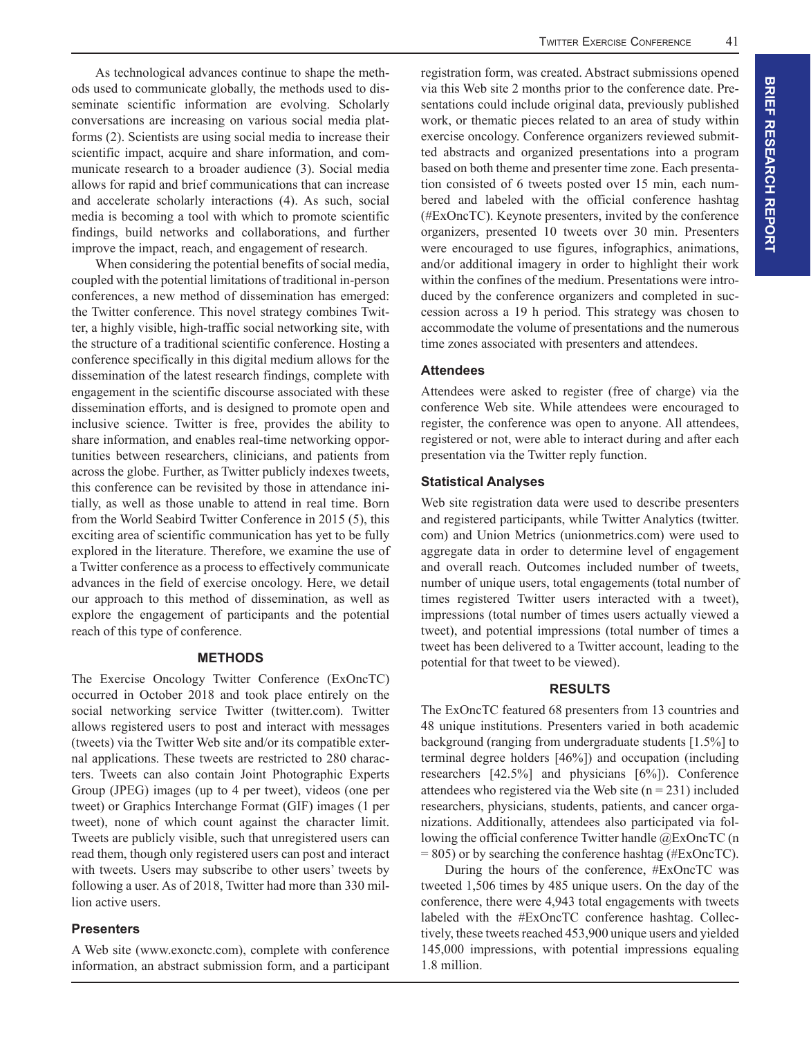As technological advances continue to shape the methods used to communicate globally, the methods used to disseminate scientific information are evolving. Scholarly conversations are increasing on various social media platforms (2). Scientists are using social media to increase their scientific impact, acquire and share information, and communicate research to a broader audience (3). Social media allows for rapid and brief communications that can increase and accelerate scholarly interactions (4). As such, social media is becoming a tool with which to promote scientific findings, build networks and collaborations, and further improve the impact, reach, and engagement of research.

When considering the potential benefits of social media, coupled with the potential limitations of traditional in-person conferences, a new method of dissemination has emerged: the Twitter conference. This novel strategy combines Twitter, a highly visible, high-traffic social networking site, with the structure of a traditional scientific conference. Hosting a conference specifically in this digital medium allows for the dissemination of the latest research findings, complete with engagement in the scientific discourse associated with these dissemination efforts, and is designed to promote open and inclusive science. Twitter is free, provides the ability to share information, and enables real-time networking opportunities between researchers, clinicians, and patients from across the globe. Further, as Twitter publicly indexes tweets, this conference can be revisited by those in attendance initially, as well as those unable to attend in real time. Born from the World Seabird Twitter Conference in 2015 (5), this exciting area of scientific communication has yet to be fully explored in the literature. Therefore, we examine the use of a Twitter conference as a process to effectively communicate advances in the field of exercise oncology. Here, we detail our approach to this method of dissemination, as well as explore the engagement of participants and the potential reach of this type of conference.

#### **METHODS**

The Exercise Oncology Twitter Conference (ExOncTC) occurred in October 2018 and took place entirely on the social networking service Twitter (twitter.com). Twitter allows registered users to post and interact with messages (tweets) via the Twitter Web site and/or its compatible external applications. These tweets are restricted to 280 characters. Tweets can also contain Joint Photographic Experts Group (JPEG) images (up to 4 per tweet), videos (one per tweet) or Graphics Interchange Format (GIF) images (1 per tweet), none of which count against the character limit. Tweets are publicly visible, such that unregistered users can read them, though only registered users can post and interact with tweets. Users may subscribe to other users' tweets by following a user. As of 2018, Twitter had more than 330 million active users.

#### **Presenters**

A Web site (www.exonctc.com), complete with conference information, an abstract submission form, and a participant registration form, was created. Abstract submissions opened via this Web site 2 months prior to the conference date. Presentations could include original data, previously published work, or thematic pieces related to an area of study within exercise oncology. Conference organizers reviewed submitted abstracts and organized presentations into a program based on both theme and presenter time zone. Each presentation consisted of 6 tweets posted over 15 min, each numbered and labeled with the official conference hashtag (#ExOncTC). Keynote presenters, invited by the conference organizers, presented 10 tweets over 30 min. Presenters were encouraged to use figures, infographics, animations, and/or additional imagery in order to highlight their work within the confines of the medium. Presentations were introduced by the conference organizers and completed in succession across a 19 h period. This strategy was chosen to accommodate the volume of presentations and the numerous time zones associated with presenters and attendees.

# **Attendees**

Attendees were asked to register (free of charge) via the conference Web site. While attendees were encouraged to register, the conference was open to anyone. All attendees, registered or not, were able to interact during and after each presentation via the Twitter reply function.

# **Statistical Analyses**

Web site registration data were used to describe presenters and registered participants, while Twitter Analytics (twitter. com) and Union Metrics (unionmetrics.com) were used to aggregate data in order to determine level of engagement and overall reach. Outcomes included number of tweets, number of unique users, total engagements (total number of times registered Twitter users interacted with a tweet), impressions (total number of times users actually viewed a tweet), and potential impressions (total number of times a tweet has been delivered to a Twitter account, leading to the potential for that tweet to be viewed).

#### **RESULTS**

The ExOncTC featured 68 presenters from 13 countries and 48 unique institutions. Presenters varied in both academic background (ranging from undergraduate students [1.5%] to terminal degree holders [46%]) and occupation (including researchers [42.5%] and physicians [6%]). Conference attendees who registered via the Web site  $(n = 231)$  included researchers, physicians, students, patients, and cancer organizations. Additionally, attendees also participated via following the official conference Twitter handle @ExOncTC (n  $= 805$ ) or by searching the conference hashtag (#ExOncTC).

During the hours of the conference, #ExOncTC was tweeted 1,506 times by 485 unique users. On the day of the conference, there were 4,943 total engagements with tweets labeled with the #ExOncTC conference hashtag. Collectively, these tweets reached 453,900 unique users and yielded 145,000 impressions, with potential impressions equaling 1.8 million.